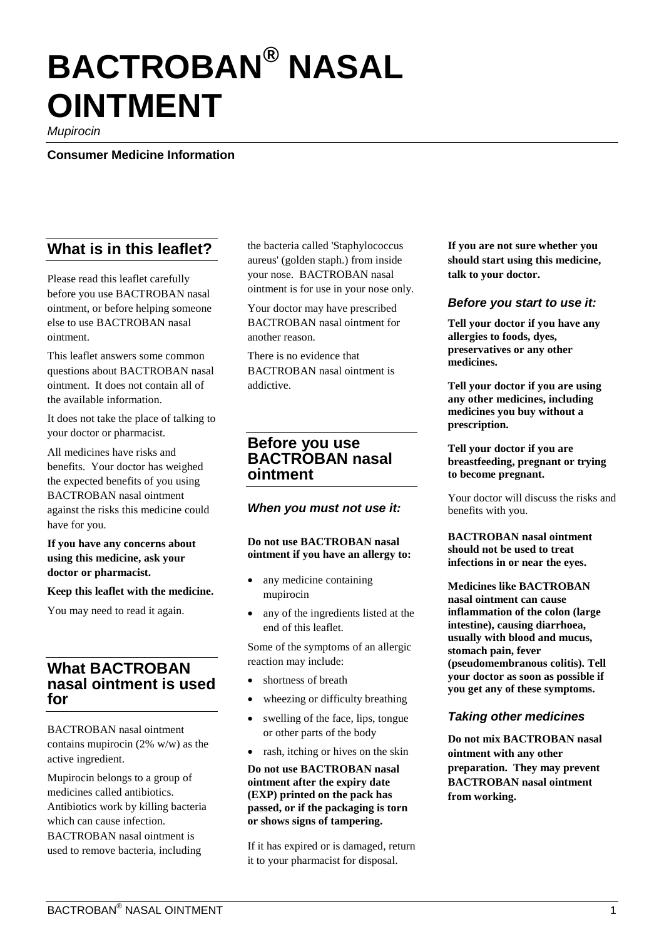# **BACTROBAN® NASAL OINTMENT**

*Mupirocin*

**Consumer Medicine Information**

# **What is in this leaflet?**

Please read this leaflet carefully before you use BACTROBAN nasal ointment, or before helping someone else to use BACTROBAN nasal ointment.

This leaflet answers some common questions about BACTROBAN nasal ointment. It does not contain all of the available information.

It does not take the place of talking to your doctor or pharmacist.

All medicines have risks and benefits. Your doctor has weighed the expected benefits of you using BACTROBAN nasal ointment against the risks this medicine could have for you.

#### **If you have any concerns about using this medicine, ask your doctor or pharmacist.**

#### **Keep this leaflet with the medicine.**

You may need to read it again.

# **What BACTROBAN nasal ointment is used for**

BACTROBAN nasal ointment contains mupirocin (2% w/w) as the active ingredient.

Mupirocin belongs to a group of medicines called antibiotics. Antibiotics work by killing bacteria which can cause infection. BACTROBAN nasal ointment is used to remove bacteria, including

the bacteria called 'Staphylococcus aureus' (golden staph.) from inside your nose. BACTROBAN nasal ointment is for use in your nose only.

Your doctor may have prescribed BACTROBAN nasal ointment for another reason.

There is no evidence that BACTROBAN nasal ointment is addictive.

## **Before you use BACTROBAN nasal ointment**

#### *When you must not use it:*

#### **Do not use BACTROBAN nasal ointment if you have an allergy to:**

- any medicine containing mupirocin
- any of the ingredients listed at the end of this leaflet.

Some of the symptoms of an allergic reaction may include:

- shortness of breath
- wheezing or difficulty breathing
- swelling of the face, lips, tongue or other parts of the body
- rash, itching or hives on the skin

**Do not use BACTROBAN nasal ointment after the expiry date (EXP) printed on the pack has passed, or if the packaging is torn or shows signs of tampering.**

If it has expired or is damaged, return it to your pharmacist for disposal.

**If you are not sure whether you should start using this medicine, talk to your doctor.** 

#### *Before you start to use it:*

**Tell your doctor if you have any allergies to foods, dyes, preservatives or any other medicines.**

**Tell your doctor if you are using any other medicines, including medicines you buy without a prescription.**

**Tell your doctor if you are breastfeeding, pregnant or trying to become pregnant.** 

Your doctor will discuss the risks and benefits with you.

**BACTROBAN nasal ointment should not be used to treat infections in or near the eyes.** 

**Medicines like BACTROBAN nasal ointment can cause inflammation of the colon (large intestine), causing diarrhoea, usually with blood and mucus, stomach pain, fever (pseudomembranous colitis). Tell your doctor as soon as possible if you get any of these symptoms.**

## *Taking other medicines*

**Do not mix BACTROBAN nasal ointment with any other preparation. They may prevent BACTROBAN nasal ointment from working.**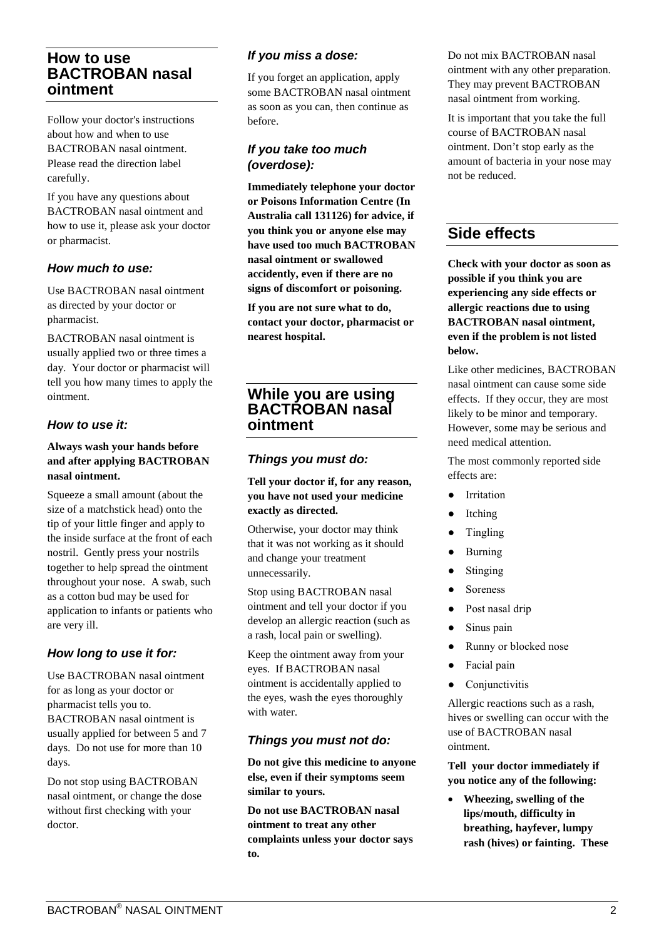# **How to use BACTROBAN nasal ointment**

Follow your doctor's instructions about how and when to use BACTROBAN nasal ointment. Please read the direction label carefully.

If you have any questions about BACTROBAN nasal ointment and how to use it, please ask your doctor or pharmacist.

### *How much to use:*

Use BACTROBAN nasal ointment as directed by your doctor or pharmacist.

BACTROBAN nasal ointment is usually applied two or three times a day. Your doctor or pharmacist will tell you how many times to apply the ointment.

### *How to use it:*

#### **Always wash your hands before and after applying BACTROBAN nasal ointment.**

Squeeze a small amount (about the size of a matchstick head) onto the tip of your little finger and apply to the inside surface at the front of each nostril. Gently press your nostrils together to help spread the ointment throughout your nose. A swab, such as a cotton bud may be used for application to infants or patients who are very ill.

## *How long to use it for:*

Use BACTROBAN nasal ointment for as long as your doctor or pharmacist tells you to. BACTROBAN nasal ointment is usually applied for between 5 and 7 days. Do not use for more than 10 days.

Do not stop using BACTROBAN nasal ointment, or change the dose without first checking with your doctor.

### *If you miss a dose:*

If you forget an application, apply some BACTROBAN nasal ointment as soon as you can, then continue as before.

### *If you take too much (overdose):*

**Immediately telephone your doctor or Poisons Information Centre (In Australia call 131126) for advice, if you think you or anyone else may have used too much BACTROBAN nasal ointment or swallowed accidently, even if there are no signs of discomfort or poisoning.**

**If you are not sure what to do, contact your doctor, pharmacist or nearest hospital.**

# **While you are using BACTROBAN nasal ointment**

### *Things you must do:*

**Tell your doctor if, for any reason, you have not used your medicine exactly as directed.**

Otherwise, your doctor may think that it was not working as it should and change your treatment unnecessarily.

Stop using BACTROBAN nasal ointment and tell your doctor if you develop an allergic reaction (such as a rash, local pain or swelling).

Keep the ointment away from your eyes. If BACTROBAN nasal ointment is accidentally applied to the eyes, wash the eyes thoroughly with water.

## *Things you must not do:*

**Do not give this medicine to anyone else, even if their symptoms seem similar to yours.**

**Do not use BACTROBAN nasal ointment to treat any other complaints unless your doctor says to.**

Do not mix BACTROBAN nasal ointment with any other preparation. They may prevent BACTROBAN nasal ointment from working.

It is important that you take the full course of BACTROBAN nasal ointment. Don't stop early as the amount of bacteria in your nose may not be reduced.

# **Side effects**

**Check with your doctor as soon as possible if you think you are experiencing any side effects or allergic reactions due to using BACTROBAN nasal ointment, even if the problem is not listed below.**

Like other medicines, BACTROBAN nasal ointment can cause some side effects. If they occur, they are most likely to be minor and temporary. However, some may be serious and need medical attention.

The most commonly reported side effects are:

- Irritation
- **Itching**
- Tingling
- **Burning**
- Stinging
- **Soreness**
- Post nasal drip
- Sinus pain
- Runny or blocked nose
- Facial pain
- Conjunctivitis

Allergic reactions such as a rash, hives or swelling can occur with the use of BACTROBAN nasal ointment.

**Tell your doctor immediately if you notice any of the following:**

• **Wheezing, swelling of the lips/mouth, difficulty in breathing, hayfever, lumpy rash (hives) or fainting. These**